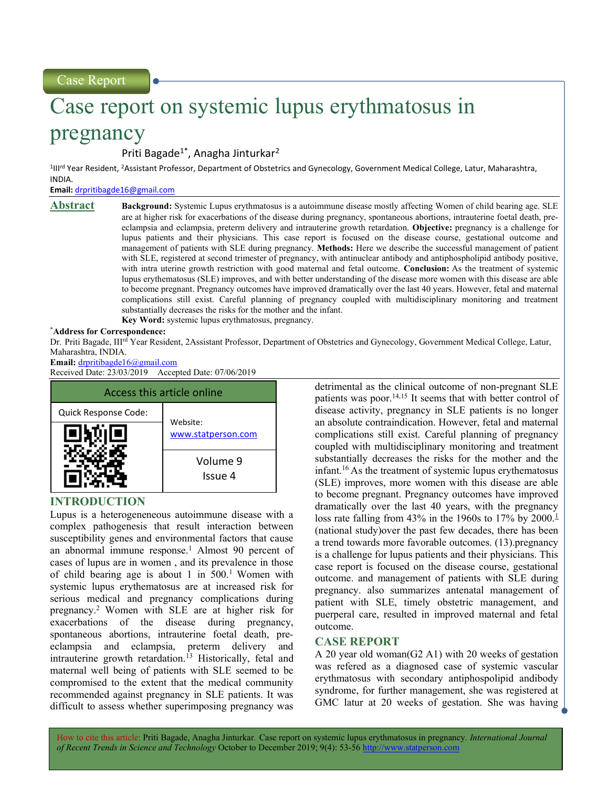# Case report on systemic lupus erythmatosus in

# pregnancy

Priti Bagade<sup>1\*</sup>, Anagha Jinturkar<sup>2</sup>

<sup>1</sup>III<sup>rd</sup> Year Resident, <sup>2</sup>Assistant Professor, Department of Obstetrics and Gynecology, Government Medical College, Latur, Maharashtra, INDIA.

Email: drpritibagde16@gmail.com

Abstract Background: Systemic Lupus erythmatosus is a autoimmune disease mostly affecting Women of child bearing age. SLE are at higher risk for exacerbations of the disease during pregnancy, spontaneous abortions, intrauterine foetal death, preeclampsia and eclampsia, preterm delivery and intrauterine growth retardation. Objective: pregnancy is a challenge for lupus patients and their physicians. This case report is focused on the disease course, gestational outcome and management of patients with SLE during pregnancy. Methods: Here we describe the successful management of patient with SLE, registered at second trimester of pregnancy, with antinuclear antibody and antiphospholipid antibody positive, with intra uterine growth restriction with good maternal and fetal outcome. Conclusion: As the treatment of systemic lupus erythematosus (SLE) improves, and with better understanding of the disease more women with this disease are able to become pregnant. Pregnancy outcomes have improved dramatically over the last 40 years. However, fetal and maternal complications still exist. Careful planning of pregnancy coupled with multidisciplinary monitoring and treatment substantially decreases the risks for the mother and the infant. Key Word: systemic lupus erythmatosus, pregnancy.

#### \*Address for Correspondence:

Dr. Priti Bagade, IIIrd Year Resident, 2Assistant Professor, Department of Obstetrics and Gynecology, Government Medical College, Latur, Maharashtra, INDIA.

Email: drpritibagde16@gmail.com

Received Date: 23/03/2019 Accepted Date: 07/06/2019



# INTRODUCTION

Lupus is a heterogeneneous autoimmune disease with a complex pathogenesis that result interaction between susceptibility genes and environmental factors that cause an abnormal immune response.<sup>1</sup> Almost 90 percent of cases of lupus are in women , and its prevalence in those of child bearing age is about 1 in  $500<sup>1</sup>$  Women with systemic lupus erythematosus are at increased risk for serious medical and pregnancy complications during pregnancy.<sup>2</sup>Women with SLE are at higher risk for exacerbations of the disease during pregnancy, spontaneous abortions, intrauterine foetal death, preeclampsia and eclampsia, preterm delivery and intrauterine growth retardation.<sup>13</sup> Historically, fetal and maternal well being of patients with SLE seemed to be compromised to the extent that the medical community recommended against pregnancy in SLE patients. It was difficult to assess whether superimposing pregnancy was

detrimental as the clinical outcome of non-pregnant SLE patients was poor.<sup>14,15</sup> It seems that with better control of disease activity, pregnancy in SLE patients is no longer an absolute contraindication. However, fetal and maternal complications still exist. Careful planning of pregnancy coupled with multidisciplinary monitoring and treatment substantially decreases the risks for the mother and the infant.<sup>16</sup> As the treatment of systemic lupus erythematosus (SLE) improves, more women with this disease are able to become pregnant. Pregnancy outcomes have improved dramatically over the last 40 years, with the pregnancy loss rate falling from 43% in the 1960s to 17% by 2000.<sup>1</sup> (national study)over the past few decades, there has been a trend towards more favorable outcomes. (13).pregnancy is a challenge for lupus patients and their physicians. This case report is focused on the disease course, gestational outcome. and management of patients with SLE during pregnancy. also summarizes antenatal management of patient with SLE, timely obstetric management, and puerperal care, resulted in improved maternal and fetal outcome.

## CASE REPORT

A 20 year old woman(G2 A1) with 20 weeks of gestation was refered as a diagnosed case of systemic vascular erythmatosus with secondary antiphospolipid andibody syndrome, for further management, she was registered at GMC latur at 20 weeks of gestation. She was having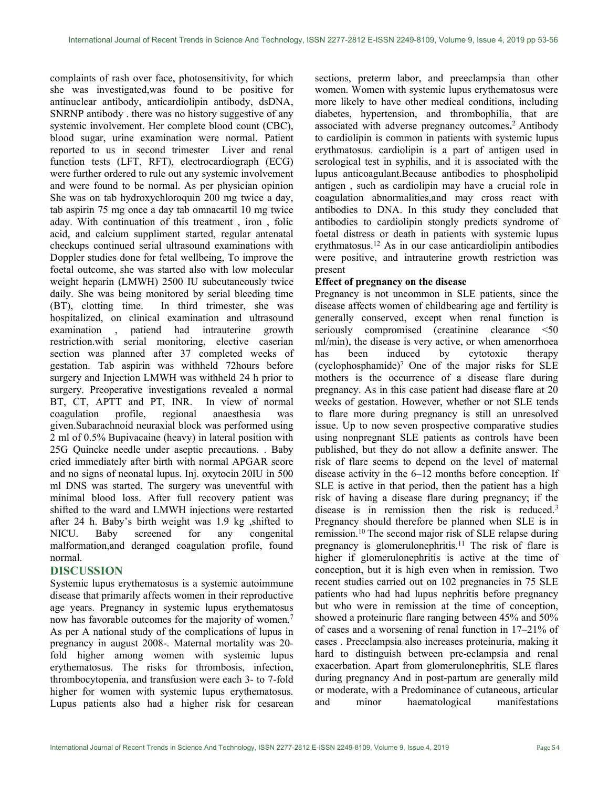complaints of rash over face, photosensitivity, for which she was investigated,was found to be positive for antinuclear antibody, anticardiolipin antibody, dsDNA, SNRNP antibody . there was no history suggestive of any systemic involvement. Her complete blood count (CBC), blood sugar, urine examination were normal. Patient reported to us in second trimester Liver and renal function tests (LFT, RFT), electrocardiograph (ECG) were further ordered to rule out any systemic involvement and were found to be normal. As per physician opinion She was on tab hydroxychloroquin 200 mg twice a day, tab aspirin 75 mg once a day tab omnacartil 10 mg twice aday. With continuation of this treatment , iron , folic acid, and calcium suppliment started, regular antenatal checkups continued serial ultrasound examinations with Doppler studies done for fetal wellbeing, To improve the foetal outcome, she was started also with low molecular weight heparin (LMWH) 2500 IU subcutaneously twice daily. She was being monitored by serial bleeding time (BT), clotting time. In third trimester, she was In third trimester, she was hospitalized, on clinical examination and ultrasound examination , patiend had intrauterine growth restriction.with serial monitoring, elective caserian section was planned after 37 completed weeks of gestation. Tab aspirin was withheld 72hours before surgery and Injection LMWH was withheld 24 h prior to surgery. Preoperative investigations revealed a normal BT, CT, APTT and PT, INR. In view of normal coagulation profile, regional anaesthesia was given.Subarachnoid neuraxial block was performed using 2 ml of 0.5% Bupivacaine (heavy) in lateral position with 25G Quincke needle under aseptic precautions. . Baby cried immediately after birth with normal APGAR score and no signs of neonatal lupus. Inj. oxytocin 20IU in 500 ml DNS was started. The surgery was uneventful with minimal blood loss. After full recovery patient was shifted to the ward and LMWH injections were restarted after 24 h. Baby's birth weight was 1.9 kg ,shifted to NICU. Baby screened for any congenital malformation,and deranged coagulation profile, found normal.

## DISCUSSION

Systemic lupus erythematosus is a systemic autoimmune disease that primarily affects women in their reproductive age years. Pregnancy in systemic lupus erythematosus now has favorable outcomes for the majority of women.<sup>7</sup> As per A national study of the complications of lupus in pregnancy in august 2008-. Maternal mortality was 20 fold higher among women with systemic lupus erythematosus. The risks for thrombosis, infection, thrombocytopenia, and transfusion were each 3- to 7-fold higher for women with systemic lupus erythematosus. Lupus patients also had a higher risk for cesarean sections, preterm labor, and preeclampsia than other women. Women with systemic lupus erythematosus were more likely to have other medical conditions, including diabetes, hypertension, and thrombophilia, that are associated with adverse pregnancy outcomes. <sup>2</sup>Antibody to cardiolipin is common in patients with systemic lupus erythmatosus. cardiolipin is a part of antigen used in serological test in syphilis, and it is associated with the lupus anticoagulant.Because antibodies to phospholipid antigen , such as cardiolipin may have a crucial role in coagulation abnormalities,and may cross react with antibodies to DNA. In this study they concluded that antibodies to cardiolipin stongly predicts syndrome of foetal distress or death in patients with systemic lupus erythmatosus.<sup>12</sup> As in our case anticardiolipin antibodies were positive, and intrauterine growth restriction was present

#### Effect of pregnancy on the disease

Pregnancy is not uncommon in SLE patients, since the disease affects women of childbearing age and fertility is generally conserved, except when renal function is seriously compromised (creatinine clearance <50 ml/min), the disease is very active, or when amenorrhoea has been induced by cytotoxic therapy (cyclophosphamide)<sup>7</sup> One of the major risks for SLE mothers is the occurrence of a disease flare during pregnancy. As in this case patient had disease flare at 20 weeks of gestation. However, whether or not SLE tends to flare more during pregnancy is still an unresolved issue. Up to now seven prospective comparative studies using nonpregnant SLE patients as controls have been published, but they do not allow a definite answer. The risk of flare seems to depend on the level of maternal disease activity in the 6–12 months before conception. If SLE is active in that period, then the patient has a high risk of having a disease flare during pregnancy; if the disease is in remission then the risk is reduced.<sup>3</sup> Pregnancy should therefore be planned when SLE is in remission.<sup>10</sup> The second major risk of SLE relapse during pregnancy is glomerulonephritis.<sup>11</sup> The risk of flare is higher if glomerulonephritis is active at the time of conception, but it is high even when in remission. Two recent studies carried out on 102 pregnancies in 75 SLE patients who had had lupus nephritis before pregnancy but who were in remission at the time of conception, showed a proteinuric flare ranging between 45% and 50% of cases and a worsening of renal function in 17–21% of cases . Preeclampsia also increases proteinuria, making it hard to distinguish between pre-eclampsia and renal exacerbation. Apart from glomerulonephritis, SLE flares during pregnancy And in post-partum are generally mild or moderate, with a Predominance of cutaneous, articular and minor haematological manifestations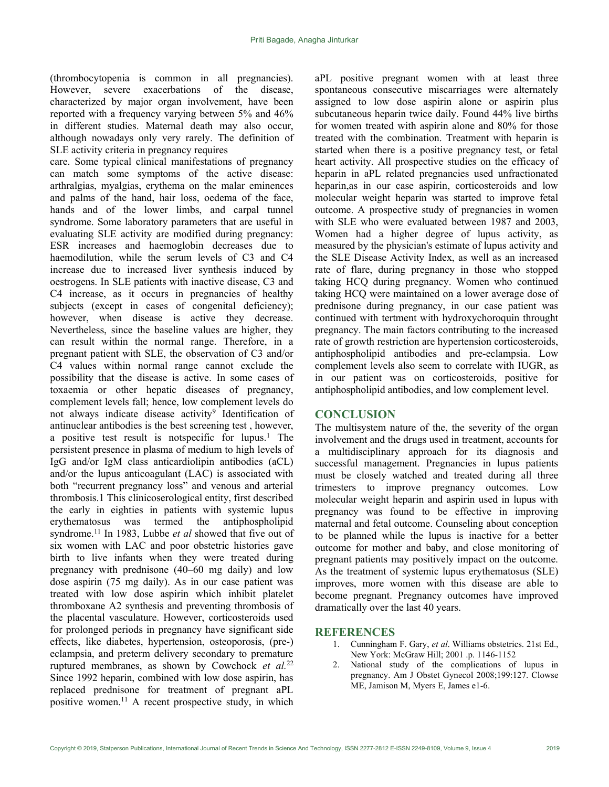(thrombocytopenia is common in all pregnancies). However, severe exacerbations of the disease, characterized by major organ involvement, have been reported with a frequency varying between 5% and 46% in different studies. Maternal death may also occur, although nowadays only very rarely. The definition of SLE activity criteria in pregnancy requires

care. Some typical clinical manifestations of pregnancy can match some symptoms of the active disease: arthralgias, myalgias, erythema on the malar eminences and palms of the hand, hair loss, oedema of the face, hands and of the lower limbs, and carpal tunnel syndrome. Some laboratory parameters that are useful in evaluating SLE activity are modified during pregnancy: ESR increases and haemoglobin decreases due to haemodilution, while the serum levels of C3 and C4 increase due to increased liver synthesis induced by oestrogens. In SLE patients with inactive disease, C3 and C4 increase, as it occurs in pregnancies of healthy subjects (except in cases of congenital deficiency); however, when disease is active they decrease. Nevertheless, since the baseline values are higher, they can result within the normal range. Therefore, in a pregnant patient with SLE, the observation of C3 and/or C4 values within normal range cannot exclude the possibility that the disease is active. In some cases of toxaemia or other hepatic diseases of pregnancy, complement levels fall; hence, low complement levels do not always indicate disease activity<sup>9</sup> Identification of antinuclear antibodies is the best screening test , however, a positive test result is notspecific for lupus.<sup>1</sup> The persistent presence in plasma of medium to high levels of IgG and/or IgM class anticardiolipin antibodies (aCL) and/or the lupus anticoagulant (LAC) is associated with both "recurrent pregnancy loss" and venous and arterial thrombosis.1 This clinicoserological entity, first described the early in eighties in patients with systemic lupus erythematosus was termed the antiphospholipid syndrome.<sup>11</sup> In 1983, Lubbe *et al* showed that five out of six women with LAC and poor obstetric histories gave birth to live infants when they were treated during pregnancy with prednisone (40–60 mg daily) and low dose aspirin (75 mg daily). As in our case patient was treated with low dose aspirin which inhibit platelet thromboxane A2 synthesis and preventing thrombosis of the placental vasculature. However, corticosteroids used for prolonged periods in pregnancy have significant side effects, like diabetes, hypertension, osteoporosis, (pre-) eclampsia, and preterm delivery secondary to premature ruptured membranes, as shown by Cowchock et  $al$ <sup>22</sup> Since 1992 heparin, combined with low dose aspirin, has replaced prednisone for treatment of pregnant aPL positive women.<sup>11</sup> A recent prospective study, in which

aPL positive pregnant women with at least three spontaneous consecutive miscarriages were alternately assigned to low dose aspirin alone or aspirin plus subcutaneous heparin twice daily. Found 44% live births for women treated with aspirin alone and 80% for those treated with the combination. Treatment with heparin is started when there is a positive pregnancy test, or fetal heart activity. All prospective studies on the efficacy of heparin in aPL related pregnancies used unfractionated heparin, as in our case aspirin, corticosteroids and low molecular weight heparin was started to improve fetal outcome. A prospective study of pregnancies in women with SLE who were evaluated between 1987 and 2003, Women had a higher degree of lupus activity, as measured by the physician's estimate of lupus activity and the SLE Disease Activity Index, as well as an increased rate of flare, during pregnancy in those who stopped taking HCQ during pregnancy. Women who continued taking HCQ were maintained on a lower average dose of prednisone during pregnancy, in our case patient was continued with tertment with hydroxychoroquin throught pregnancy. The main factors contributing to the increased rate of growth restriction are hypertension corticosteroids, antiphospholipid antibodies and pre-eclampsia. Low complement levels also seem to correlate with IUGR, as in our patient was on corticosteroids, positive for antiphospholipid antibodies, and low complement level.

#### **CONCLUSION**

The multisystem nature of the, the severity of the organ involvement and the drugs used in treatment, accounts for a multidisciplinary approach for its diagnosis and successful management. Pregnancies in lupus patients must be closely watched and treated during all three trimesters to improve pregnancy outcomes. Low molecular weight heparin and aspirin used in lupus with pregnancy was found to be effective in improving maternal and fetal outcome. Counseling about conception to be planned while the lupus is inactive for a better outcome for mother and baby, and close monitoring of pregnant patients may positively impact on the outcome. As the treatment of systemic lupus erythematosus (SLE) improves, more women with this disease are able to become pregnant. Pregnancy outcomes have improved dramatically over the last 40 years.

#### **REFERENCES**

- 1. Cunningham F. Gary, et al. Williams obstetrics. 21st Ed., New York: McGraw Hill; 2001 .p. 1146-1152
- 2. National study of the complications of lupus in pregnancy. Am J Obstet Gynecol 2008;199:127. Clowse ME, Jamison M, Myers E, James e1-6.